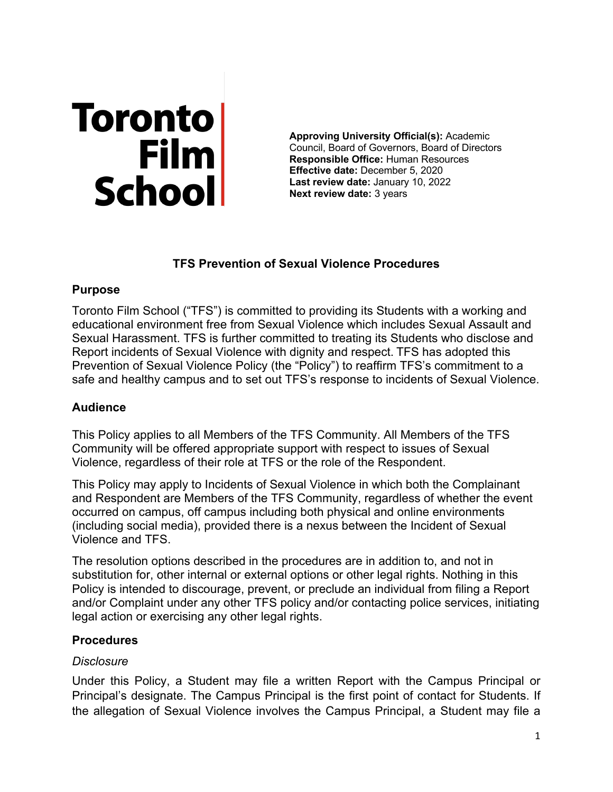# Toronto<br>Film<br>School

**Approving University Official(s):** Academic Council, Board of Governors, Board of Directors **Responsible Office:** Human Resources **Effective date:** December 5, 2020 **Last review date:** January 10, 2022 **Next review date:** 3 years

# **TFS Prevention of Sexual Violence Procedures**

# **Purpose**

Toronto Film School ("TFS") is committed to providing its Students with a working and educational environment free from Sexual Violence which includes Sexual Assault and Sexual Harassment. TFS is further committed to treating its Students who disclose and Report incidents of Sexual Violence with dignity and respect. TFS has adopted this Prevention of Sexual Violence Policy (the "Policy") to reaffirm TFS's commitment to a safe and healthy campus and to set out TFS's response to incidents of Sexual Violence.

# **Audience**

This Policy applies to all Members of the TFS Community. All Members of the TFS Community will be offered appropriate support with respect to issues of Sexual Violence, regardless of their role at TFS or the role of the Respondent.

This Policy may apply to Incidents of Sexual Violence in which both the Complainant and Respondent are Members of the TFS Community, regardless of whether the event occurred on campus, off campus including both physical and online environments (including social media), provided there is a nexus between the Incident of Sexual Violence and TFS.

The resolution options described in the procedures are in addition to, and not in substitution for, other internal or external options or other legal rights. Nothing in this Policy is intended to discourage, prevent, or preclude an individual from filing a Report and/or Complaint under any other TFS policy and/or contacting police services, initiating legal action or exercising any other legal rights.

# **Procedures**

# *Disclosure*

Under this Policy, a Student may file a written Report with the Campus Principal or Principal's designate. The Campus Principal is the first point of contact for Students. If the allegation of Sexual Violence involves the Campus Principal, a Student may file a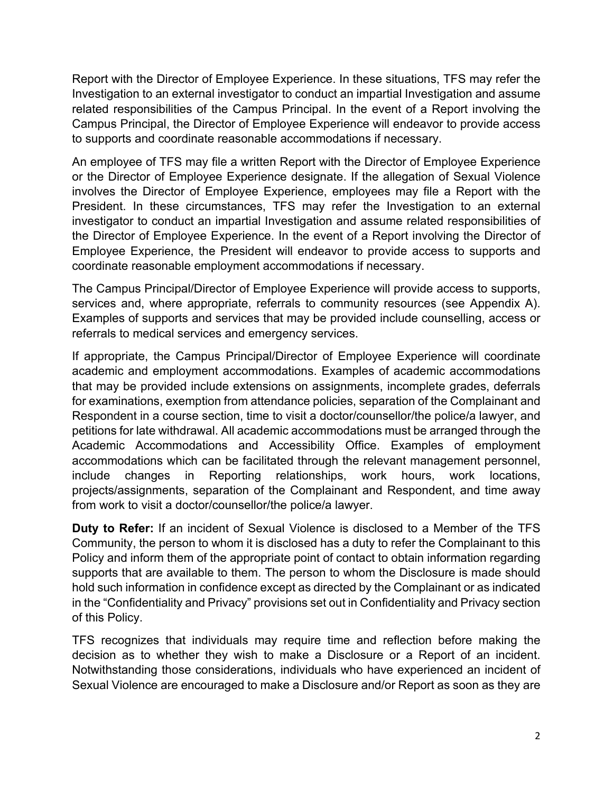Report with the Director of Employee Experience. In these situations, TFS may refer the Investigation to an external investigator to conduct an impartial Investigation and assume related responsibilities of the Campus Principal. In the event of a Report involving the Campus Principal, the Director of Employee Experience will endeavor to provide access to supports and coordinate reasonable accommodations if necessary.

An employee of TFS may file a written Report with the Director of Employee Experience or the Director of Employee Experience designate. If the allegation of Sexual Violence involves the Director of Employee Experience, employees may file a Report with the President. In these circumstances, TFS may refer the Investigation to an external investigator to conduct an impartial Investigation and assume related responsibilities of the Director of Employee Experience. In the event of a Report involving the Director of Employee Experience, the President will endeavor to provide access to supports and coordinate reasonable employment accommodations if necessary.

The Campus Principal/Director of Employee Experience will provide access to supports, services and, where appropriate, referrals to community resources (see Appendix A). Examples of supports and services that may be provided include counselling, access or referrals to medical services and emergency services.

If appropriate, the Campus Principal/Director of Employee Experience will coordinate academic and employment accommodations. Examples of academic accommodations that may be provided include extensions on assignments, incomplete grades, deferrals for examinations, exemption from attendance policies, separation of the Complainant and Respondent in a course section, time to visit a doctor/counsellor/the police/a lawyer, and petitions for late withdrawal. All academic accommodations must be arranged through the Academic Accommodations and Accessibility Office. Examples of employment accommodations which can be facilitated through the relevant management personnel, include changes in Reporting relationships, work hours, work locations, projects/assignments, separation of the Complainant and Respondent, and time away from work to visit a doctor/counsellor/the police/a lawyer.

**Duty to Refer:** If an incident of Sexual Violence is disclosed to a Member of the TFS Community, the person to whom it is disclosed has a duty to refer the Complainant to this Policy and inform them of the appropriate point of contact to obtain information regarding supports that are available to them. The person to whom the Disclosure is made should hold such information in confidence except as directed by the Complainant or as indicated in the "Confidentiality and Privacy" provisions set out in Confidentiality and Privacy section of this Policy.

TFS recognizes that individuals may require time and reflection before making the decision as to whether they wish to make a Disclosure or a Report of an incident. Notwithstanding those considerations, individuals who have experienced an incident of Sexual Violence are encouraged to make a Disclosure and/or Report as soon as they are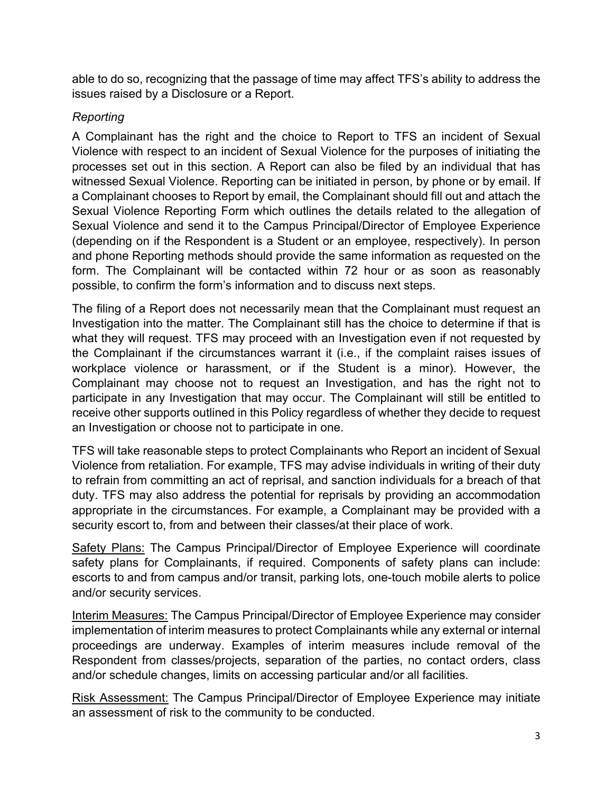able to do so, recognizing that the passage of time may affect TFS's ability to address the issues raised by a Disclosure or a Report.

# *Reporting*

A Complainant has the right and the choice to Report to TFS an incident of Sexual Violence with respect to an incident of Sexual Violence for the purposes of initiating the processes set out in this section. A Report can also be filed by an individual that has witnessed Sexual Violence. Reporting can be initiated in person, by phone or by email. If a Complainant chooses to Report by email, the Complainant should fill out and attach the Sexual Violence Reporting Form which outlines the details related to the allegation of Sexual Violence and send it to the Campus Principal/Director of Employee Experience (depending on if the Respondent is a Student or an employee, respectively). In person and phone Reporting methods should provide the same information as requested on the form. The Complainant will be contacted within 72 hour or as soon as reasonably possible, to confirm the form's information and to discuss next steps.

The filing of a Report does not necessarily mean that the Complainant must request an Investigation into the matter. The Complainant still has the choice to determine if that is what they will request. TFS may proceed with an Investigation even if not requested by the Complainant if the circumstances warrant it (i.e., if the complaint raises issues of workplace violence or harassment, or if the Student is a minor). However, the Complainant may choose not to request an Investigation, and has the right not to participate in any Investigation that may occur. The Complainant will still be entitled to receive other supports outlined in this Policy regardless of whether they decide to request an Investigation or choose not to participate in one.

TFS will take reasonable steps to protect Complainants who Report an incident of Sexual Violence from retaliation. For example, TFS may advise individuals in writing of their duty to refrain from committing an act of reprisal, and sanction individuals for a breach of that duty. TFS may also address the potential for reprisals by providing an accommodation appropriate in the circumstances. For example, a Complainant may be provided with a security escort to, from and between their classes/at their place of work.

Safety Plans: The Campus Principal/Director of Employee Experience will coordinate safety plans for Complainants, if required. Components of safety plans can include: escorts to and from campus and/or transit, parking lots, one-touch mobile alerts to police and/or security services.

Interim Measures: The Campus Principal/Director of Employee Experience may consider implementation of interim measures to protect Complainants while any external or internal proceedings are underway. Examples of interim measures include removal of the Respondent from classes/projects, separation of the parties, no contact orders, class and/or schedule changes, limits on accessing particular and/or all facilities.

Risk Assessment: The Campus Principal/Director of Employee Experience may initiate an assessment of risk to the community to be conducted.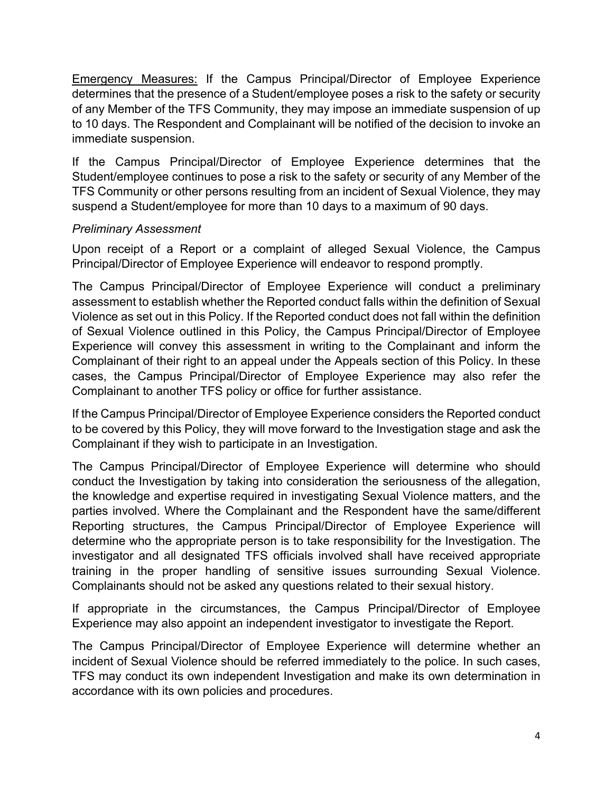Emergency Measures: If the Campus Principal/Director of Employee Experience determines that the presence of a Student/employee poses a risk to the safety or security of any Member of the TFS Community, they may impose an immediate suspension of up to 10 days. The Respondent and Complainant will be notified of the decision to invoke an immediate suspension.

If the Campus Principal/Director of Employee Experience determines that the Student/employee continues to pose a risk to the safety or security of any Member of the TFS Community or other persons resulting from an incident of Sexual Violence, they may suspend a Student/employee for more than 10 days to a maximum of 90 days.

# *Preliminary Assessment*

Upon receipt of a Report or a complaint of alleged Sexual Violence, the Campus Principal/Director of Employee Experience will endeavor to respond promptly.

The Campus Principal/Director of Employee Experience will conduct a preliminary assessment to establish whether the Reported conduct falls within the definition of Sexual Violence as set out in this Policy. If the Reported conduct does not fall within the definition of Sexual Violence outlined in this Policy, the Campus Principal/Director of Employee Experience will convey this assessment in writing to the Complainant and inform the Complainant of their right to an appeal under the Appeals section of this Policy. In these cases, the Campus Principal/Director of Employee Experience may also refer the Complainant to another TFS policy or office for further assistance.

If the Campus Principal/Director of Employee Experience considers the Reported conduct to be covered by this Policy, they will move forward to the Investigation stage and ask the Complainant if they wish to participate in an Investigation.

The Campus Principal/Director of Employee Experience will determine who should conduct the Investigation by taking into consideration the seriousness of the allegation, the knowledge and expertise required in investigating Sexual Violence matters, and the parties involved. Where the Complainant and the Respondent have the same/different Reporting structures, the Campus Principal/Director of Employee Experience will determine who the appropriate person is to take responsibility for the Investigation. The investigator and all designated TFS officials involved shall have received appropriate training in the proper handling of sensitive issues surrounding Sexual Violence. Complainants should not be asked any questions related to their sexual history.

If appropriate in the circumstances, the Campus Principal/Director of Employee Experience may also appoint an independent investigator to investigate the Report.

The Campus Principal/Director of Employee Experience will determine whether an incident of Sexual Violence should be referred immediately to the police. In such cases, TFS may conduct its own independent Investigation and make its own determination in accordance with its own policies and procedures.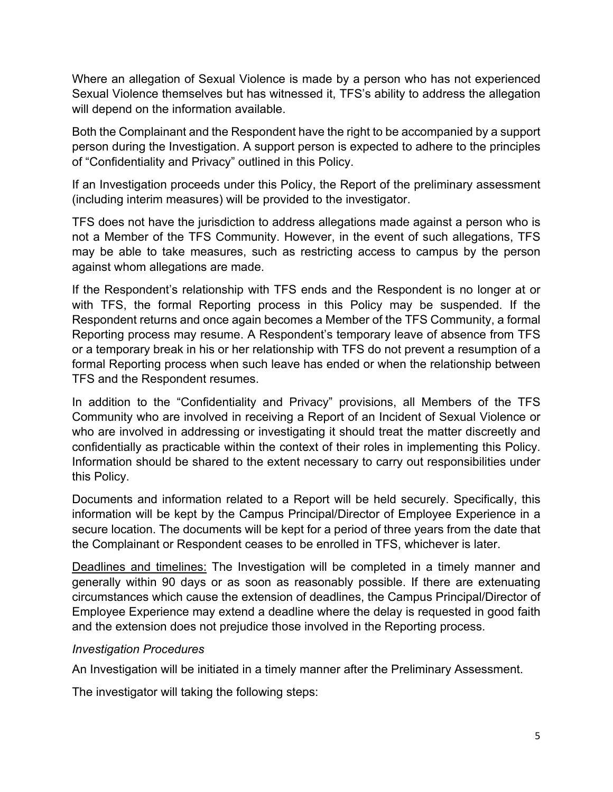Where an allegation of Sexual Violence is made by a person who has not experienced Sexual Violence themselves but has witnessed it, TFS's ability to address the allegation will depend on the information available.

Both the Complainant and the Respondent have the right to be accompanied by a support person during the Investigation. A support person is expected to adhere to the principles of "Confidentiality and Privacy" outlined in this Policy.

If an Investigation proceeds under this Policy, the Report of the preliminary assessment (including interim measures) will be provided to the investigator.

TFS does not have the jurisdiction to address allegations made against a person who is not a Member of the TFS Community. However, in the event of such allegations, TFS may be able to take measures, such as restricting access to campus by the person against whom allegations are made.

If the Respondent's relationship with TFS ends and the Respondent is no longer at or with TFS, the formal Reporting process in this Policy may be suspended. If the Respondent returns and once again becomes a Member of the TFS Community, a formal Reporting process may resume. A Respondent's temporary leave of absence from TFS or a temporary break in his or her relationship with TFS do not prevent a resumption of a formal Reporting process when such leave has ended or when the relationship between TFS and the Respondent resumes.

In addition to the "Confidentiality and Privacy" provisions, all Members of the TFS Community who are involved in receiving a Report of an Incident of Sexual Violence or who are involved in addressing or investigating it should treat the matter discreetly and confidentially as practicable within the context of their roles in implementing this Policy. Information should be shared to the extent necessary to carry out responsibilities under this Policy.

Documents and information related to a Report will be held securely. Specifically, this information will be kept by the Campus Principal/Director of Employee Experience in a secure location. The documents will be kept for a period of three years from the date that the Complainant or Respondent ceases to be enrolled in TFS, whichever is later.

Deadlines and timelines: The Investigation will be completed in a timely manner and generally within 90 days or as soon as reasonably possible. If there are extenuating circumstances which cause the extension of deadlines, the Campus Principal/Director of Employee Experience may extend a deadline where the delay is requested in good faith and the extension does not prejudice those involved in the Reporting process.

# *Investigation Procedures*

An Investigation will be initiated in a timely manner after the Preliminary Assessment.

The investigator will taking the following steps: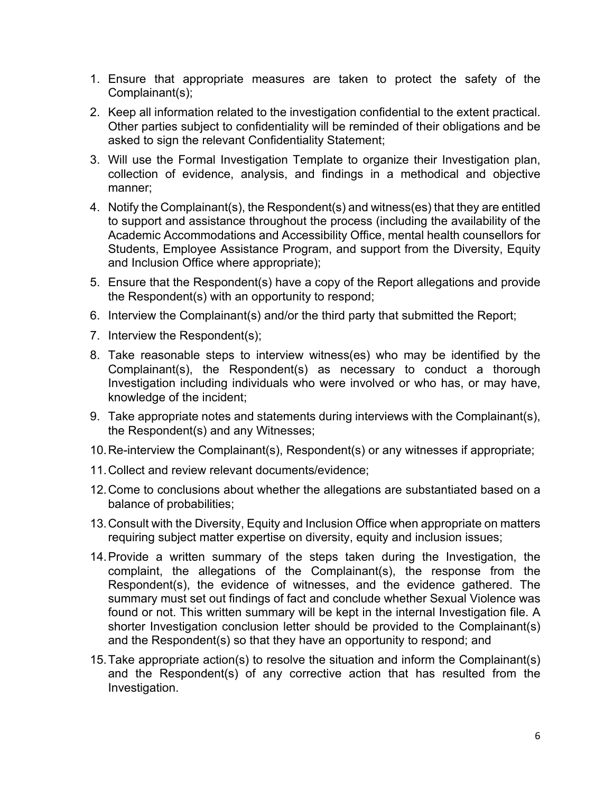- 1. Ensure that appropriate measures are taken to protect the safety of the Complainant(s);
- 2. Keep all information related to the investigation confidential to the extent practical. Other parties subject to confidentiality will be reminded of their obligations and be asked to sign the relevant Confidentiality Statement;
- 3. Will use the Formal Investigation Template to organize their Investigation plan, collection of evidence, analysis, and findings in a methodical and objective manner;
- 4. Notify the Complainant(s), the Respondent(s) and witness(es) that they are entitled to support and assistance throughout the process (including the availability of the Academic Accommodations and Accessibility Office, mental health counsellors for Students, Employee Assistance Program, and support from the Diversity, Equity and Inclusion Office where appropriate);
- 5. Ensure that the Respondent(s) have a copy of the Report allegations and provide the Respondent(s) with an opportunity to respond;
- 6. Interview the Complainant(s) and/or the third party that submitted the Report;
- 7. Interview the Respondent(s);
- 8. Take reasonable steps to interview witness(es) who may be identified by the Complainant(s), the Respondent(s) as necessary to conduct a thorough Investigation including individuals who were involved or who has, or may have, knowledge of the incident;
- 9. Take appropriate notes and statements during interviews with the Complainant(s), the Respondent(s) and any Witnesses;
- 10.Re-interview the Complainant(s), Respondent(s) or any witnesses if appropriate;
- 11.Collect and review relevant documents/evidence;
- 12.Come to conclusions about whether the allegations are substantiated based on a balance of probabilities;
- 13.Consult with the Diversity, Equity and Inclusion Office when appropriate on matters requiring subject matter expertise on diversity, equity and inclusion issues;
- 14.Provide a written summary of the steps taken during the Investigation, the complaint, the allegations of the Complainant(s), the response from the Respondent(s), the evidence of witnesses, and the evidence gathered. The summary must set out findings of fact and conclude whether Sexual Violence was found or not. This written summary will be kept in the internal Investigation file. A shorter Investigation conclusion letter should be provided to the Complainant(s) and the Respondent(s) so that they have an opportunity to respond; and
- 15.Take appropriate action(s) to resolve the situation and inform the Complainant(s) and the Respondent(s) of any corrective action that has resulted from the Investigation.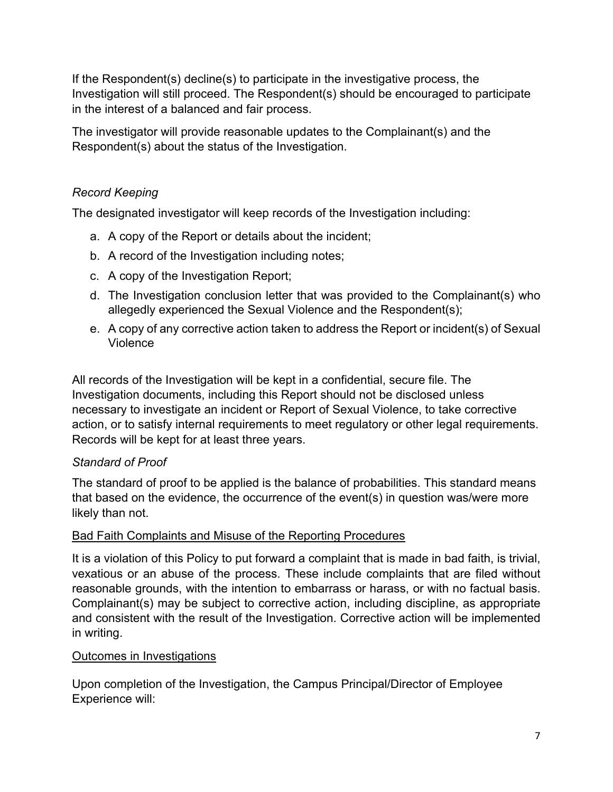If the Respondent(s) decline(s) to participate in the investigative process, the Investigation will still proceed. The Respondent(s) should be encouraged to participate in the interest of a balanced and fair process.

The investigator will provide reasonable updates to the Complainant(s) and the Respondent(s) about the status of the Investigation.

# *Record Keeping*

The designated investigator will keep records of the Investigation including:

- a. A copy of the Report or details about the incident;
- b. A record of the Investigation including notes;
- c. A copy of the Investigation Report;
- d. The Investigation conclusion letter that was provided to the Complainant(s) who allegedly experienced the Sexual Violence and the Respondent(s);
- e. A copy of any corrective action taken to address the Report or incident(s) of Sexual Violence

All records of the Investigation will be kept in a confidential, secure file. The Investigation documents, including this Report should not be disclosed unless necessary to investigate an incident or Report of Sexual Violence, to take corrective action, or to satisfy internal requirements to meet regulatory or other legal requirements. Records will be kept for at least three years.

# *Standard of Proof*

The standard of proof to be applied is the balance of probabilities. This standard means that based on the evidence, the occurrence of the event(s) in question was/were more likely than not.

# Bad Faith Complaints and Misuse of the Reporting Procedures

It is a violation of this Policy to put forward a complaint that is made in bad faith, is trivial, vexatious or an abuse of the process. These include complaints that are filed without reasonable grounds, with the intention to embarrass or harass, or with no factual basis. Complainant(s) may be subject to corrective action, including discipline, as appropriate and consistent with the result of the Investigation. Corrective action will be implemented in writing.

# Outcomes in Investigations

Upon completion of the Investigation, the Campus Principal/Director of Employee Experience will: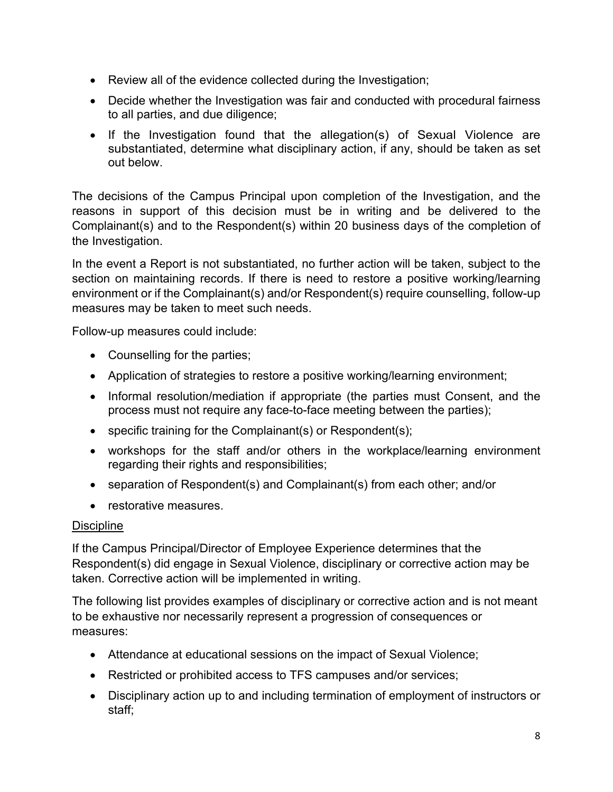- Review all of the evidence collected during the Investigation;
- Decide whether the Investigation was fair and conducted with procedural fairness to all parties, and due diligence;
- If the Investigation found that the allegation(s) of Sexual Violence are substantiated, determine what disciplinary action, if any, should be taken as set out below.

The decisions of the Campus Principal upon completion of the Investigation, and the reasons in support of this decision must be in writing and be delivered to the Complainant(s) and to the Respondent(s) within 20 business days of the completion of the Investigation.

In the event a Report is not substantiated, no further action will be taken, subject to the section on maintaining records. If there is need to restore a positive working/learning environment or if the Complainant(s) and/or Respondent(s) require counselling, follow-up measures may be taken to meet such needs.

Follow-up measures could include:

- Counselling for the parties;
- Application of strategies to restore a positive working/learning environment;
- Informal resolution/mediation if appropriate (the parties must Consent, and the process must not require any face-to-face meeting between the parties);
- specific training for the Complainant(s) or Respondent(s);
- workshops for the staff and/or others in the workplace/learning environment regarding their rights and responsibilities;
- separation of Respondent(s) and Complainant(s) from each other; and/or
- restorative measures.

# **Discipline**

If the Campus Principal/Director of Employee Experience determines that the Respondent(s) did engage in Sexual Violence, disciplinary or corrective action may be taken. Corrective action will be implemented in writing.

The following list provides examples of disciplinary or corrective action and is not meant to be exhaustive nor necessarily represent a progression of consequences or measures:

- Attendance at educational sessions on the impact of Sexual Violence;
- Restricted or prohibited access to TFS campuses and/or services;
- Disciplinary action up to and including termination of employment of instructors or staff;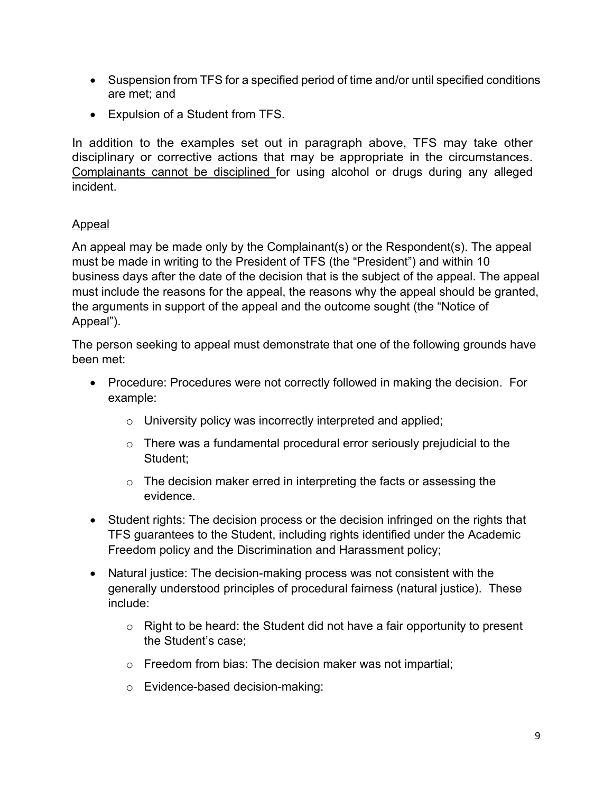- Suspension from TFS for a specified period of time and/or until specified conditions are met; and
- Expulsion of a Student from TFS.

In addition to the examples set out in paragraph above, TFS may take other disciplinary or corrective actions that may be appropriate in the circumstances. Complainants cannot be disciplined for using alcohol or drugs during any alleged incident.

# Appeal

An appeal may be made only by the Complainant(s) or the Respondent(s). The appeal must be made in writing to the President of TFS (the "President") and within 10 business days after the date of the decision that is the subject of the appeal. The appeal must include the reasons for the appeal, the reasons why the appeal should be granted, the arguments in support of the appeal and the outcome sought (the "Notice of Appeal").

The person seeking to appeal must demonstrate that one of the following grounds have been met:

- Procedure: Procedures were not correctly followed in making the decision. For example:
	- o University policy was incorrectly interpreted and applied;
	- $\circ$  There was a fundamental procedural error seriously prejudicial to the Student;
	- $\circ$  The decision maker erred in interpreting the facts or assessing the evidence.
- Student rights: The decision process or the decision infringed on the rights that TFS guarantees to the Student, including rights identified under the Academic Freedom policy and the Discrimination and Harassment policy;
- Natural justice: The decision-making process was not consistent with the generally understood principles of procedural fairness (natural justice). These include:
	- $\circ$  Right to be heard: the Student did not have a fair opportunity to present the Student's case;
	- o Freedom from bias: The decision maker was not impartial;
	- o Evidence-based decision-making: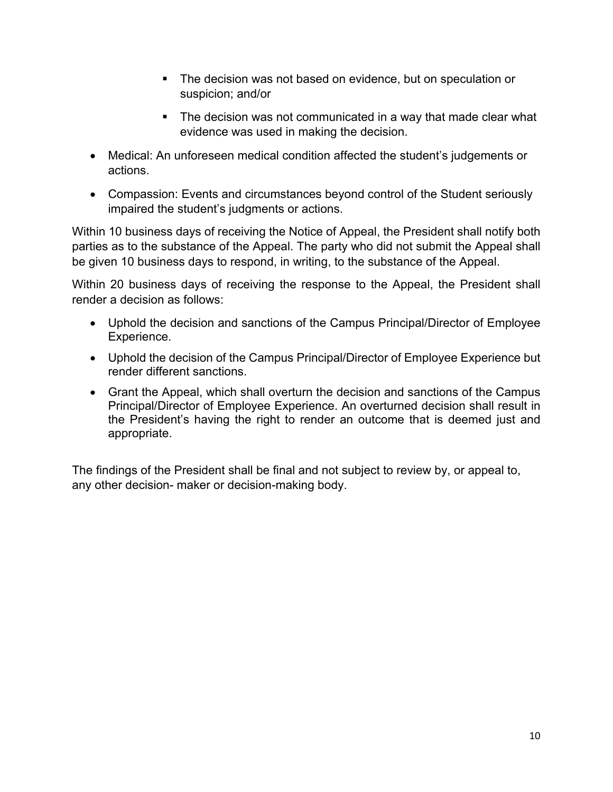- The decision was not based on evidence, but on speculation or suspicion; and/or
- The decision was not communicated in a way that made clear what evidence was used in making the decision.
- Medical: An unforeseen medical condition affected the student's judgements or actions.
- Compassion: Events and circumstances beyond control of the Student seriously impaired the student's judgments or actions.

Within 10 business days of receiving the Notice of Appeal, the President shall notify both parties as to the substance of the Appeal. The party who did not submit the Appeal shall be given 10 business days to respond, in writing, to the substance of the Appeal.

Within 20 business days of receiving the response to the Appeal, the President shall render a decision as follows:

- Uphold the decision and sanctions of the Campus Principal/Director of Employee Experience.
- Uphold the decision of the Campus Principal/Director of Employee Experience but render different sanctions.
- Grant the Appeal, which shall overturn the decision and sanctions of the Campus Principal/Director of Employee Experience. An overturned decision shall result in the President's having the right to render an outcome that is deemed just and appropriate.

The findings of the President shall be final and not subject to review by, or appeal to, any other decision- maker or decision-making body.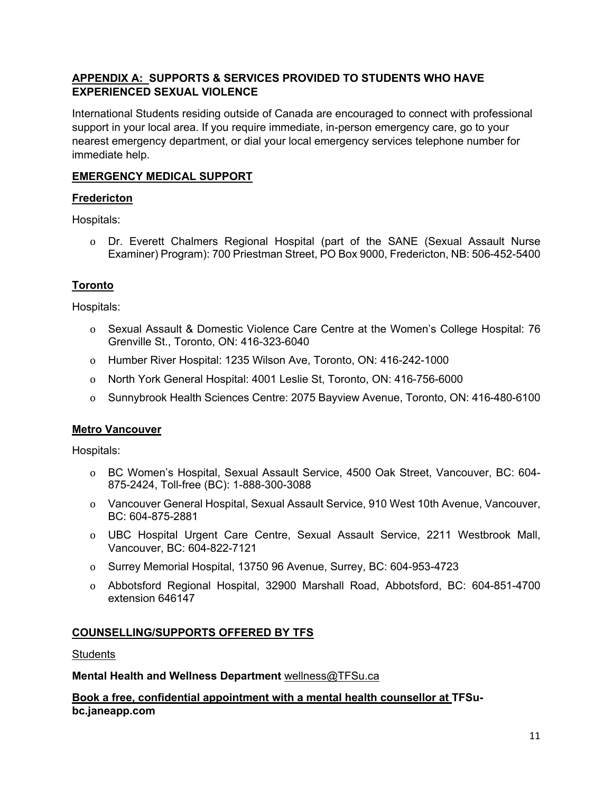## **APPENDIX A: SUPPORTS & SERVICES PROVIDED TO STUDENTS WHO HAVE EXPERIENCED SEXUAL VIOLENCE**

International Students residing outside of Canada are encouraged to connect with professional support in your local area. If you require immediate, in-person emergency care, go to your nearest emergency department, or dial your local emergency services telephone number for immediate help.

# **EMERGENCY MEDICAL SUPPORT**

## **Fredericton**

Hospitals:

o Dr. Everett Chalmers Regional Hospital (part of the SANE (Sexual Assault Nurse Examiner) Program): 700 Priestman Street, PO Box 9000, Fredericton, NB: 506-452-5400

# **Toronto**

Hospitals:

- o Sexual Assault & Domestic Violence Care Centre at the Women's College Hospital: 76 Grenville St., Toronto, ON: 416-323-6040
- o Humber River Hospital: 1235 Wilson Ave, Toronto, ON: 416-242-1000
- o North York General Hospital: 4001 Leslie St, Toronto, ON: 416-756-6000
- o Sunnybrook Health Sciences Centre: 2075 Bayview Avenue, Toronto, ON: 416-480-6100

#### **Metro Vancouver**

Hospitals:

- o BC Women's Hospital, Sexual Assault Service, 4500 Oak Street, Vancouver, BC: 604- 875-2424, Toll-free (BC): 1-888-300-3088
- o Vancouver General Hospital, Sexual Assault Service, 910 West 10th Avenue, Vancouver, BC: 604-875-2881
- o UBC Hospital Urgent Care Centre, Sexual Assault Service, 2211 Westbrook Mall, Vancouver, BC: 604-822-7121
- o Surrey Memorial Hospital, 13750 96 Avenue, Surrey, BC: 604-953-4723
- o Abbotsford Regional Hospital, 32900 Marshall Road, Abbotsford, BC: 604-851-4700 extension 646147

#### **COUNSELLING/SUPPORTS OFFERED BY TFS**

**Students** 

**Mental Health and Wellness Department** wellness@TFSu.ca

**Book a free, confidential appointment with a mental health counsellor at TFSubc.janeapp.com**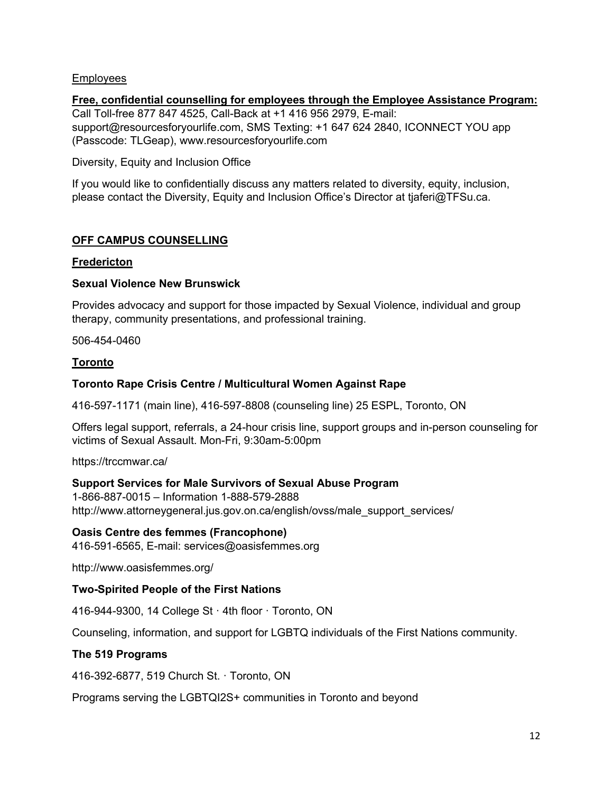#### Employees

#### **Free, confidential counselling for employees through the Employee Assistance Program:**  Call Toll-free 877 847 4525, Call-Back at +1 416 956 2979, E-mail: support@resourcesforyourlife.com, SMS Texting: +1 647 624 2840, ICONNECT YOU app (Passcode: TLGeap), www.resourcesforyourlife.com

#### Diversity, Equity and Inclusion Office

If you would like to confidentially discuss any matters related to diversity, equity, inclusion, please contact the Diversity, Equity and Inclusion Office's Director at tjaferi@TFSu.ca.

#### **OFF CAMPUS COUNSELLING**

#### **Fredericton**

#### **Sexual Violence New Brunswick**

Provides advocacy and support for those impacted by Sexual Violence, individual and group therapy, community presentations, and professional training.

506-454-0460

#### **Toronto**

#### **Toronto Rape Crisis Centre / Multicultural Women Against Rape**

416-597-1171 (main line), 416-597-8808 (counseling line) 25 ESPL, Toronto, ON

Offers legal support, referrals, a 24-hour crisis line, support groups and in-person counseling for victims of Sexual Assault. Mon-Fri, 9:30am-5:00pm

https://trccmwar.ca/

#### **Support Services for Male Survivors of Sexual Abuse Program**

1-866-887-0015 – Information 1-888-579-2888 http://www.attorneygeneral.jus.gov.on.ca/english/ovss/male\_support\_services/

#### **Oasis Centre des femmes (Francophone)**

416-591-6565, E-mail: services@oasisfemmes.org

http://www.oasisfemmes.org/

#### **Two-Spirited People of the First Nations**

416-944-9300, 14 College St · 4th floor · Toronto, ON

Counseling, information, and support for LGBTQ individuals of the First Nations community.

#### **The 519 Programs**

416-392-6877, 519 Church St. · Toronto, ON

Programs serving the LGBTQI2S+ communities in Toronto and beyond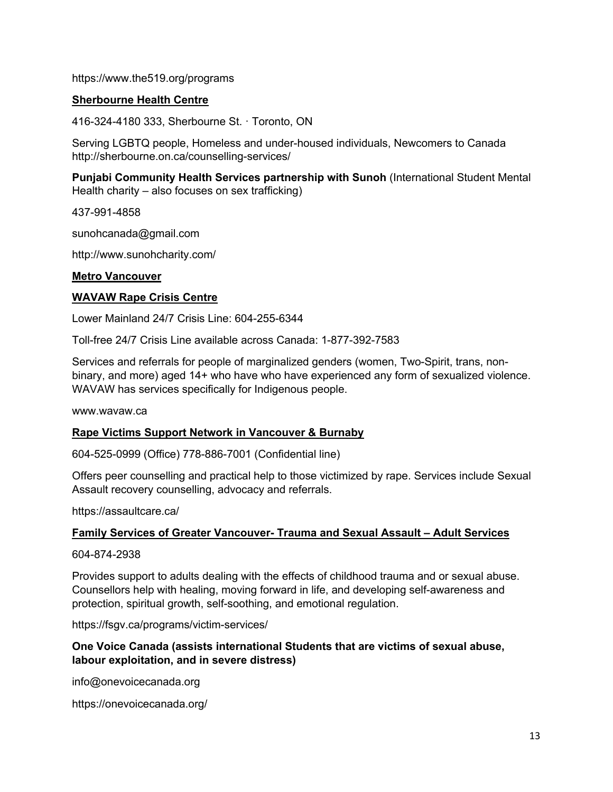https://www.the519.org/programs

#### **Sherbourne Health Centre**

416-324-4180 333, Sherbourne St. · Toronto, ON

Serving LGBTQ people, Homeless and under-housed individuals, Newcomers to Canada http://sherbourne.on.ca/counselling-services/

**Punjabi Community Health Services partnership with Sunoh** (International Student Mental Health charity – also focuses on sex trafficking)

437-991-4858

sunohcanada@gmail.com

http://www.sunohcharity.com/

#### **Metro Vancouver**

#### **WAVAW Rape Crisis Centre**

Lower Mainland 24/7 Crisis Line: 604-255-6344

Toll-free 24/7 Crisis Line available across Canada: 1-877-392-7583

Services and referrals for people of marginalized genders (women, Two-Spirit, trans, nonbinary, and more) aged 14+ who have who have experienced any form of sexualized violence. WAVAW has services specifically for Indigenous people.

www.wavaw.ca

#### **Rape Victims Support Network in Vancouver & Burnaby**

604-525-0999 (Office) 778-886-7001 (Confidential line)

Offers peer counselling and practical help to those victimized by rape. Services include Sexual Assault recovery counselling, advocacy and referrals.

https://assaultcare.ca/

#### **Family Services of Greater Vancouver- Trauma and Sexual Assault – Adult Services**

604-874-2938

Provides support to adults dealing with the effects of childhood trauma and or sexual abuse. Counsellors help with healing, moving forward in life, and developing self-awareness and protection, spiritual growth, self-soothing, and emotional regulation.

https://fsgv.ca/programs/victim-services/

#### **One Voice Canada (assists international Students that are victims of sexual abuse, labour exploitation, and in severe distress)**

info@onevoicecanada.org

https://onevoicecanada.org/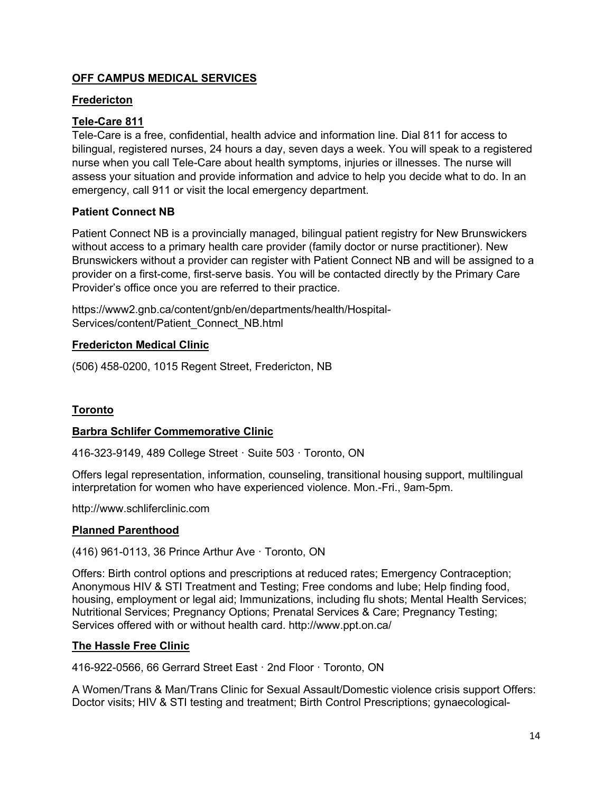## **OFF CAMPUS MEDICAL SERVICES**

#### **Fredericton**

## **Tele-Care 811**

Tele-Care is a free, confidential, health advice and information line. Dial 811 for access to bilingual, registered nurses, 24 hours a day, seven days a week. You will speak to a registered nurse when you call Tele-Care about health symptoms, injuries or illnesses. The nurse will assess your situation and provide information and advice to help you decide what to do. In an emergency, call 911 or visit the local emergency department.

## **Patient Connect NB**

Patient Connect NB is a provincially managed, bilingual patient registry for New Brunswickers without access to a primary health care provider (family doctor or nurse practitioner). New Brunswickers without a provider can register with Patient Connect NB and will be assigned to a provider on a first-come, first-serve basis. You will be contacted directly by the Primary Care Provider's office once you are referred to their practice.

https://www2.gnb.ca/content/gnb/en/departments/health/Hospital-Services/content/Patient\_Connect\_NB.html

## **Fredericton Medical Clinic**

(506) 458-0200, 1015 Regent Street, Fredericton, NB

# **Toronto**

#### **Barbra Schlifer Commemorative Clinic**

416-323-9149, 489 College Street · Suite 503 · Toronto, ON

Offers legal representation, information, counseling, transitional housing support, multilingual interpretation for women who have experienced violence. Mon.-Fri., 9am-5pm.

http://www.schliferclinic.com

#### **Planned Parenthood**

(416) 961-0113, 36 Prince Arthur Ave · Toronto, ON

Offers: Birth control options and prescriptions at reduced rates; Emergency Contraception; Anonymous HIV & STI Treatment and Testing; Free condoms and lube; Help finding food, housing, employment or legal aid; Immunizations, including flu shots; Mental Health Services; Nutritional Services; Pregnancy Options; Prenatal Services & Care; Pregnancy Testing; Services offered with or without health card. http://www.ppt.on.ca/

#### **The Hassle Free Clinic**

416-922-0566, 66 Gerrard Street East · 2nd Floor · Toronto, ON

A Women/Trans & Man/Trans Clinic for Sexual Assault/Domestic violence crisis support Offers: Doctor visits; HIV & STI testing and treatment; Birth Control Prescriptions; gynaecological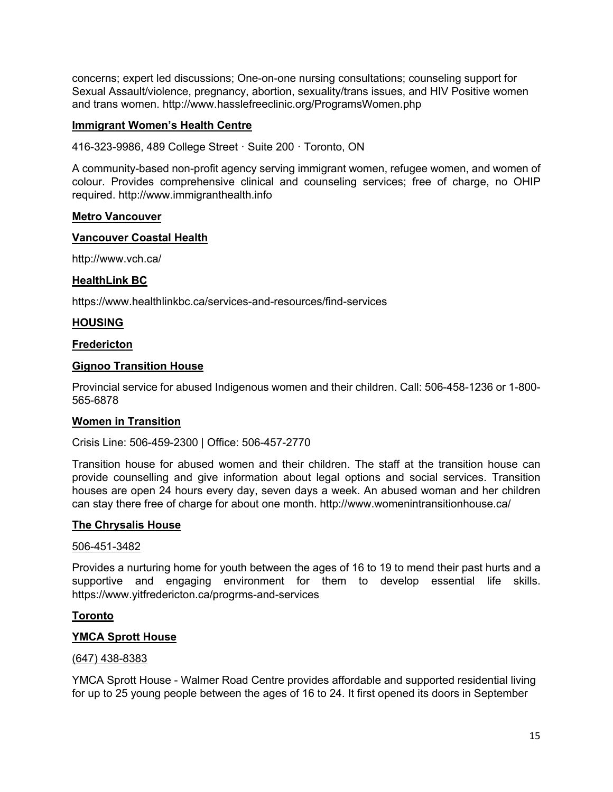concerns; expert led discussions; One-on-one nursing consultations; counseling support for Sexual Assault/violence, pregnancy, abortion, sexuality/trans issues, and HIV Positive women and trans women. http://www.hasslefreeclinic.org/ProgramsWomen.php

#### **Immigrant Women's Health Centre**

416-323-9986, 489 College Street · Suite 200 · Toronto, ON

A community-based non-profit agency serving immigrant women, refugee women, and women of colour. Provides comprehensive clinical and counseling services; free of charge, no OHIP required. http://www.immigranthealth.info

#### **Metro Vancouver**

#### **Vancouver Coastal Health**

http://www.vch.ca/

#### **HealthLink BC**

https://www.healthlinkbc.ca/services-and-resources/find-services

#### **HOUSING**

#### **Fredericton**

#### **Gignoo Transition House**

Provincial service for abused Indigenous women and their children. Call: 506-458-1236 or 1-800- 565-6878

#### **Women in Transition**

#### Crisis Line: 506-459-2300 | Office: 506-457-2770

Transition house for abused women and their children. The staff at the transition house can provide counselling and give information about legal options and social services. Transition houses are open 24 hours every day, seven days a week. An abused woman and her children can stay there free of charge for about one month. http://www.womenintransitionhouse.ca/

#### **The Chrysalis House**

#### 506-451-3482

Provides a nurturing home for youth between the ages of 16 to 19 to mend their past hurts and a supportive and engaging environment for them to develop essential life skills. https://www.yitfredericton.ca/progrms-and-services

#### **Toronto**

#### **YMCA Sprott House**

#### (647) 438-8383

YMCA Sprott House - Walmer Road Centre provides affordable and supported residential living for up to 25 young people between the ages of 16 to 24. It first opened its doors in September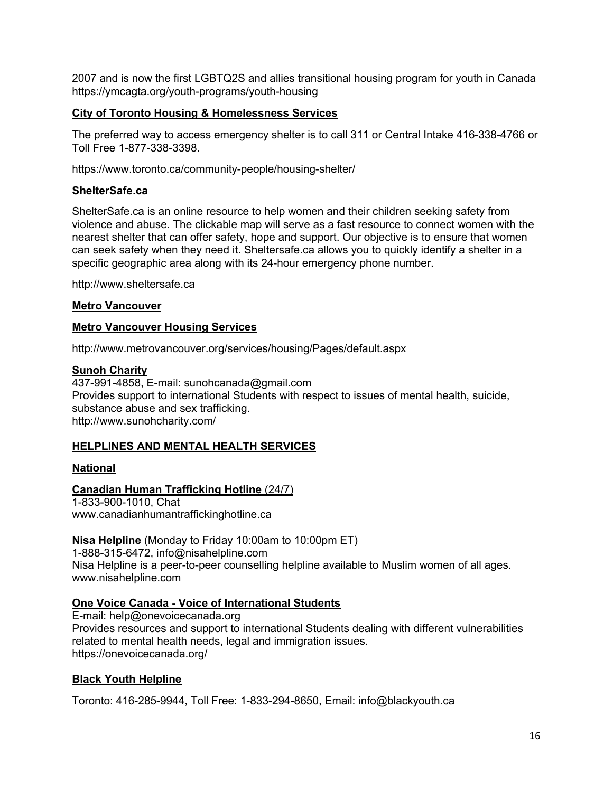2007 and is now the first LGBTQ2S and allies transitional housing program for youth in Canada https://ymcagta.org/youth-programs/youth-housing

#### **City of Toronto Housing & Homelessness Services**

The preferred way to access emergency shelter is to call 311 or Central Intake 416-338-4766 or Toll Free 1-877-338-3398.

https://www.toronto.ca/community-people/housing-shelter/

#### **ShelterSafe.ca**

ShelterSafe.ca is an online resource to help women and their children seeking safety from violence and abuse. The clickable map will serve as a fast resource to connect women with the nearest shelter that can offer safety, hope and support. Our objective is to ensure that women can seek safety when they need it. Sheltersafe.ca allows you to quickly identify a shelter in a specific geographic area along with its 24-hour emergency phone number.

http://www.sheltersafe.ca

#### **Metro Vancouver**

#### **Metro Vancouver Housing Services**

http://www.metrovancouver.org/services/housing/Pages/default.aspx

#### **Sunoh Charity**

437-991-4858, E-mail: sunohcanada@gmail.com Provides support to international Students with respect to issues of mental health, suicide, substance abuse and sex trafficking. http://www.sunohcharity.com/

#### **HELPLINES AND MENTAL HEALTH SERVICES**

#### **National**

#### **Canadian Human Trafficking Hotline** (24/7)

1-833-900-1010, Chat www.canadianhumantraffickinghotline.ca

**Nisa Helpline** (Monday to Friday 10:00am to 10:00pm ET) 1-888-315-6472, info@nisahelpline.com Nisa Helpline is a peer-to-peer counselling helpline available to Muslim women of all ages. www.nisahelpline.com

## **One Voice Canada - Voice of International Students**

E-mail: help@onevoicecanada.org Provides resources and support to international Students dealing with different vulnerabilities related to mental health needs, legal and immigration issues. https://onevoicecanada.org/

#### **Black Youth Helpline**

Toronto: 416-285-9944, Toll Free: 1-833-294-8650, Email: info@blackyouth.ca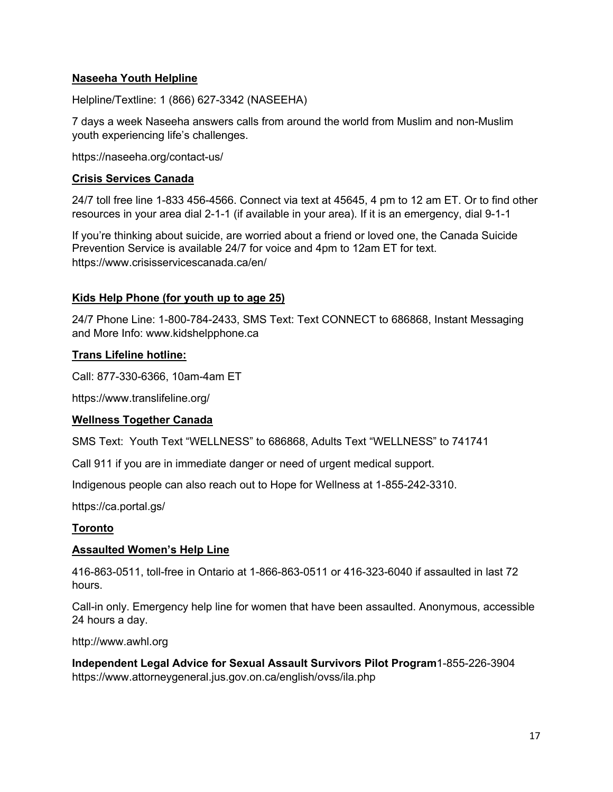## **Naseeha Youth Helpline**

Helpline/Textline: 1 (866) 627-3342 (NASEEHA)

7 days a week Naseeha answers calls from around the world from Muslim and non-Muslim youth experiencing life's challenges.

https://naseeha.org/contact-us/

#### **Crisis Services Canada**

24/7 toll free line 1-833 456-4566. Connect via text at 45645, 4 pm to 12 am ET. Or to find other resources in your area dial 2-1-1 (if available in your area). If it is an emergency, dial 9-1-1

If you're thinking about suicide, are worried about a friend or loved one, the Canada Suicide Prevention Service is available 24/7 for voice and 4pm to 12am ET for text. https://www.crisisservicescanada.ca/en/

#### **Kids Help Phone (for youth up to age 25)**

24/7 Phone Line: 1-800-784-2433, SMS Text: Text CONNECT to 686868, Instant Messaging and More Info: www.kidshelpphone.ca

#### **Trans Lifeline hotline:**

Call: 877-330-6366, 10am-4am ET

https://www.translifeline.org/

#### **Wellness Together Canada**

SMS Text: Youth Text "WELLNESS" to 686868, Adults Text "WELLNESS" to 741741

Call 911 if you are in immediate danger or need of urgent medical support.

Indigenous people can also reach out to Hope for Wellness at 1-855-242-3310.

https://ca.portal.gs/

#### **Toronto**

#### **Assaulted Women's Help Line**

416-863-0511, toll-free in Ontario at 1-866-863-0511 or 416-323-6040 if assaulted in last 72 hours.

Call-in only. Emergency help line for women that have been assaulted. Anonymous, accessible 24 hours a day.

http://www.awhl.org

**Independent Legal Advice for Sexual Assault Survivors Pilot Program**1-855-226-3904 https://www.attorneygeneral.jus.gov.on.ca/english/ovss/ila.php